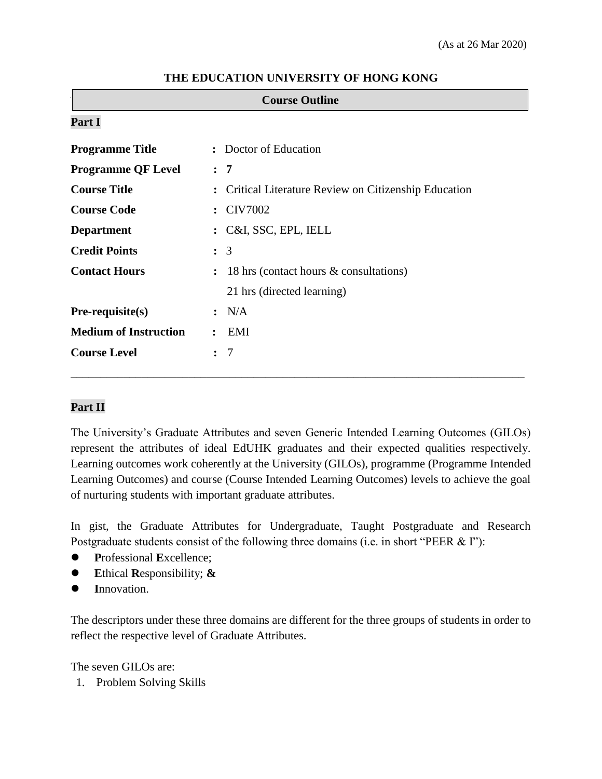| <b>Course Outline</b>        |                      |                                                     |  |  |
|------------------------------|----------------------|-----------------------------------------------------|--|--|
| Part I                       |                      |                                                     |  |  |
| <b>Programme Title</b>       | $\ddot{\cdot}$       | Doctor of Education                                 |  |  |
| <b>Programme QF Level</b>    | : 7                  |                                                     |  |  |
| <b>Course Title</b>          | $\ddot{\cdot}$       | Critical Literature Review on Citizenship Education |  |  |
| <b>Course Code</b>           | $\ddot{\cdot}$       | <b>CIV7002</b>                                      |  |  |
| <b>Department</b>            | $\ddot{\cdot}$       | C&I, SSC, EPL, IELL                                 |  |  |
| <b>Credit Points</b>         |                      | $\colon$ 3                                          |  |  |
| <b>Contact Hours</b>         | $\ddot{\cdot}$       | 18 hrs (contact hours & consultations)              |  |  |
|                              |                      | 21 hrs (directed learning)                          |  |  |
| Pre-requisite(s)             |                      | : N/A                                               |  |  |
| <b>Medium of Instruction</b> |                      | EMI                                                 |  |  |
| <b>Course Level</b>          | $\ddot{\phantom{a}}$ | 7                                                   |  |  |

### **THE EDUCATION UNIVERSITY OF HONG KONG**

## **Part II**

The University's Graduate Attributes and seven Generic Intended Learning Outcomes (GILOs) represent the attributes of ideal EdUHK graduates and their expected qualities respectively. Learning outcomes work coherently at the University (GILOs), programme (Programme Intended Learning Outcomes) and course (Course Intended Learning Outcomes) levels to achieve the goal of nurturing students with important graduate attributes.

\_\_\_\_\_\_\_\_\_\_\_\_\_\_\_\_\_\_\_\_\_\_\_\_\_\_\_\_\_\_\_\_\_\_\_\_\_\_\_\_\_\_\_\_\_\_\_\_\_\_\_\_\_\_\_\_\_\_\_\_\_\_\_\_\_\_\_\_\_\_\_\_\_\_\_\_\_

In gist, the Graduate Attributes for Undergraduate, Taught Postgraduate and Research Postgraduate students consist of the following three domains (i.e. in short "PEER & I"):

- **P**rofessional **E**xcellence;
- **E**thical **R**esponsibility; **&**
- **I**nnovation.

The descriptors under these three domains are different for the three groups of students in order to reflect the respective level of Graduate Attributes.

The seven GILOs are:

1. Problem Solving Skills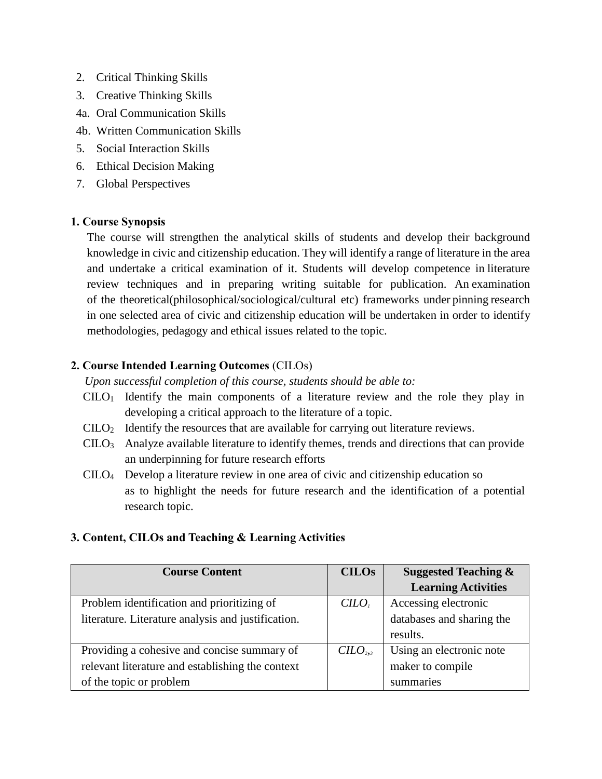- 2. Critical Thinking Skills
- 3. Creative Thinking Skills
- 4a. Oral Communication Skills
- 4b. Written Communication Skills
- 5. Social Interaction Skills
- 6. Ethical Decision Making
- 7. Global Perspectives

#### **1. Course Synopsis**

The course will strengthen the analytical skills of students and develop their background knowledge in civic and citizenship education. They will identify a range of literature in the area and undertake a critical examination of it. Students will develop competence in literature review techniques and in preparing writing suitable for publication. An examination of the theoretical(philosophical/sociological/cultural etc) frameworks under pinning research in one selected area of civic and citizenship education will be undertaken in order to identify methodologies, pedagogy and ethical issues related to the topic.

## **2. Course Intended Learning Outcomes** (CILOs)

*Upon successful completion of this course, students should be able to:* 

- $CLLO<sub>1</sub>$  Identify the main components of a literature review and the role they play in developing a critical approach to the literature of a topic.
- CILO<sup>2</sup> Identify the resources that are available for carrying out literature reviews.
- CILO<sup>3</sup> Analyze available literature to identify themes, trends and directions that can provide an underpinning for future research efforts
- CILO<sup>4</sup> Develop a literature review in one area of civic and citizenship education so as to highlight the needs for future research and the identification of a potential research topic.

## **3. Content, CILOs and Teaching & Learning Activities**

| <b>Course Content</b>                              | <b>CILOs</b> | <b>Suggested Teaching &amp;</b> |
|----------------------------------------------------|--------------|---------------------------------|
|                                                    |              | <b>Learning Activities</b>      |
| Problem identification and prioritizing of         | $C$          | Accessing electronic            |
| literature. Literature analysis and justification. |              | databases and sharing the       |
|                                                    |              | results.                        |
| Providing a cohesive and concise summary of        | $C$          | Using an electronic note        |
| relevant literature and establishing the context   |              | maker to compile                |
| of the topic or problem                            |              | summaries                       |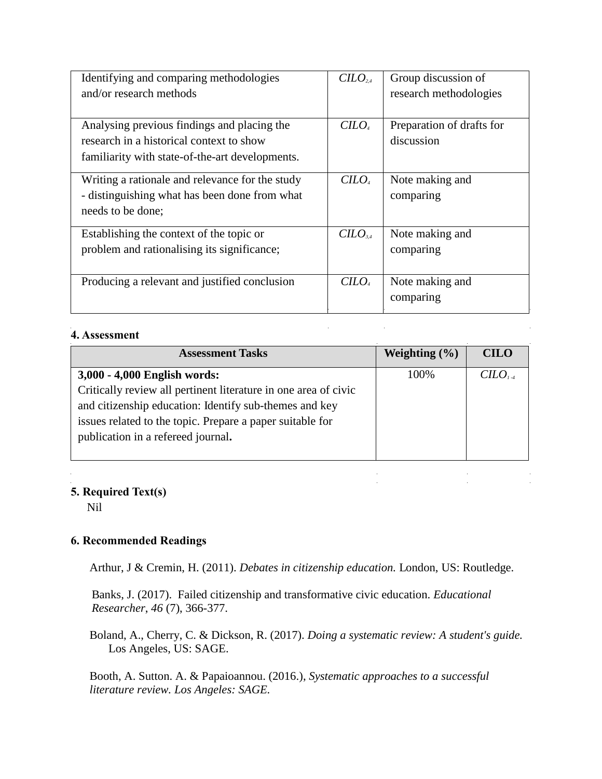| Identifying and comparing methodologies<br>and/or research methods                                                                         | CILO <sub>2.4</sub> | Group discussion of<br>research methodologies |
|--------------------------------------------------------------------------------------------------------------------------------------------|---------------------|-----------------------------------------------|
| Analysing previous findings and placing the<br>research in a historical context to show<br>familiarity with state-of-the-art developments. | $C$                 | Preparation of drafts for<br>discussion       |
| Writing a rationale and relevance for the study<br>- distinguishing what has been done from what<br>needs to be done;                      | $C$                 | Note making and<br>comparing                  |
| Establishing the context of the topic or<br>problem and rationalising its significance;                                                    | $C$                 | Note making and<br>comparing                  |
| Producing a relevant and justified conclusion                                                                                              | $C$                 | Note making and<br>comparing                  |

#### **4. Assessment**

| <b>Assessment Tasks</b>                                         | Weighting $(\% )$ | <b>CILO</b> |
|-----------------------------------------------------------------|-------------------|-------------|
| 3,000 - 4,000 English words:                                    | 100%              | $C$         |
| Critically review all pertinent literature in one area of civic |                   |             |
| and citizenship education: Identify sub-themes and key          |                   |             |
| issues related to the topic. Prepare a paper suitable for       |                   |             |
| publication in a refereed journal.                              |                   |             |
|                                                                 |                   |             |

 $\hat{\mathcal{L}}$ 

 $\label{eq:2.1} \frac{1}{2} \sum_{i=1}^n \frac{1}{2} \sum_{j=1}^n \frac{1}{2} \sum_{j=1}^n \frac{1}{2} \sum_{j=1}^n \frac{1}{2} \sum_{j=1}^n \frac{1}{2} \sum_{j=1}^n \frac{1}{2} \sum_{j=1}^n \frac{1}{2} \sum_{j=1}^n \frac{1}{2} \sum_{j=1}^n \frac{1}{2} \sum_{j=1}^n \frac{1}{2} \sum_{j=1}^n \frac{1}{2} \sum_{j=1}^n \frac{1}{2} \sum_{j=1}^n \frac{$ 

 $\mathcal{L}(\mathcal{L})$  and  $\mathcal{L}(\mathcal{L})$ 

 $\frac{1}{2}$ 

## **5. Required Text(s)**

Nil

# **6. Recommended Readings**

Arthur, J & Cremin, H. (2011). *Debates in citizenship education.* London, US: Routledge.

Banks, J. (2017). Failed citizenship and transformative civic education. *Educational Researcher*, *46* (7), 366-377.

Boland, A., Cherry, C. & Dickson, R. (2017). *[Doing a systematic review: A student's guide.](https://www.amazon.co.uk/Doing-Systematic-Review-Students-Guide/dp/1473967015/ref=pd_sbs_14_t_1/258-0291894-6385321?_encoding=UTF8&pd_rd_i=1473967015&pd_rd_r=3e680801-ba4b-4ab3-ac4b-51f0a406427d&pd_rd_w=j4xJs&pd_rd_wg=KJLA0&pf_rd_p=e44592b5-e56d-44c2-a4f9-dbdc09b29395&pf_rd_r=2VE72XK69D3KYAXDTJE4&psc=1&refRID=2VE72XK69D3KYAXDTJE4)*  Los Angeles, US: SAGE.

Booth, A. Sutton. A. & Papaioannou. (2016.), *[Systematic approaches to a successful](https://www.amazon.com/Systematic-Approaches-Successful-Literature-Review/dp/1473912466/ref=pd_sbs_14_t_0/141-4978519-1529026?_encoding=UTF8&pd_rd_i=1473912466&pd_rd_r=20a66ad6-da72-4fbd-aa41-d28619682d6d&pd_rd_w=FVEpB&pd_rd_wg=ERitR&pf_rd_p=5cfcfe89-300f-47d2-b1ad-a4e27203a02a&pf_rd_r=4NBC1RAKM9979K6216YV&psc=1&refRID=4NBC1RAKM9979K6216YV)  [literature review.](https://www.amazon.com/Systematic-Approaches-Successful-Literature-Review/dp/1473912466/ref=pd_sbs_14_t_0/141-4978519-1529026?_encoding=UTF8&pd_rd_i=1473912466&pd_rd_r=20a66ad6-da72-4fbd-aa41-d28619682d6d&pd_rd_w=FVEpB&pd_rd_wg=ERitR&pf_rd_p=5cfcfe89-300f-47d2-b1ad-a4e27203a02a&pf_rd_r=4NBC1RAKM9979K6216YV&psc=1&refRID=4NBC1RAKM9979K6216YV) Los Angeles: SAGE.*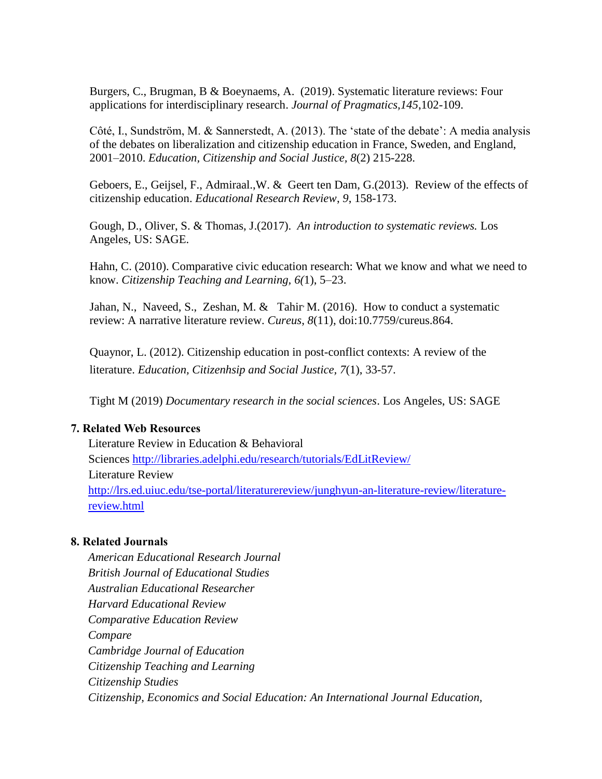Burgers, C., [Brugman,](https://www.sciencedirect.com/science/article/pii/S0378216619301924#!) B & [Boeynaems,](https://www.sciencedirect.com/science/article/pii/S0378216619301924#!) A. (2019). Systematic literature reviews: Four applications for interdisciplinary research. *Journal of Pragmatics,145*,102-109.

Côté, I., Sundström, M. & Sannerstedt, A. (2013). The 'state of the debate': A media analysis of the debates on liberalization and citizenship education in France, Sweden, and England, 2001–2010. *Education, Citizenship and Social Justice, 8*(2) 215-228.

Geboers, E., Geijsel, F., Admiraal.,W. & Geert ten Dam, G.(2013). Review of the effects of citizenship education. *Educational Research Review*, *9*, 158-173.

Gough, D., Oliver, S. & Thomas, J.(2017). *An introduction to systematic reviews.* Los Angeles, US: SAGE.

Hahn, C. (2010). Comparative civic education research: What we know and what we need to know. *Citizenship Teaching and Learning, 6(*1), 5–23.

Jahan, N., [Naveed,](https://www.ncbi.nlm.nih.gov/pubmed/?term=Naveed%20S%5BAuthor%5D&cauthor=true&cauthor_uid=27924252) S., [Zeshan,](https://www.ncbi.nlm.nih.gov/pubmed/?term=Zeshan%20M%5BAuthor%5D&cauthor=true&cauthor_uid=27924252) M. & [Tahir](https://www.ncbi.nlm.nih.gov/pubmed/?term=Tahir%20MA%5BAuthor%5D&cauthor=true&cauthor_uid=27924252) M. (2016). How to conduct a systematic review: A narrative literature review. *Cureus*, *8*(11), doi:10.7759/cureus.864.

Quaynor, L. (2012). Citizenship education in post-conflict contexts: A review of the literature. *Education, Citizenhsip and Social Justice, 7*(1), 33-57.

Tight M (2019) *Documentary research in the social sciences*. Los Angeles, US: SAGE

#### **7. Related Web Resources**

Literature Review in Education & Behavioral Sciences<http://libraries.adelphi.edu/research/tutorials/EdLitReview/> Literature Review [http://lrs.ed.uiuc.edu/tse-portal/literaturereview/junghyun-an-literature-review/literature](http://lrs.ed.uiuc.edu/tse-portal/literaturereview/junghyun-an-literature-review/literature-)review.html

#### **8. Related Journals**

*American Educational Research Journal British Journal of Educational Studies Australian Educational Researcher Harvard Educational Review Comparative Education Review Compare Cambridge Journal of Education Citizenship Teaching and Learning Citizenship Studies Citizenship, Economics and Social Education: An International Journal Education,*